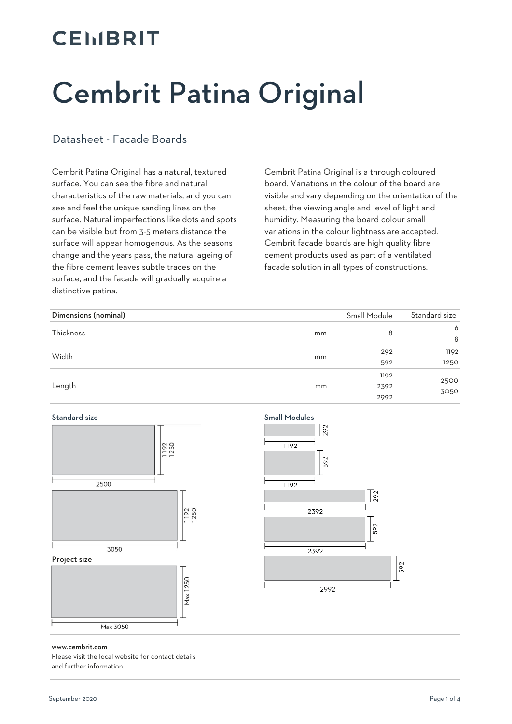### **CEMBRIT**

# Cembrit Patina Original

#### Datasheet - Facade Boards

Cembrit Patina Original has a natural, textured surface. You can see the fibre and natural characteristics of the raw materials, and you can see and feel the unique sanding lines on the surface. Natural imperfections like dots and spots can be visible but from 3-5 meters distance the surface will appear homogenous. As the seasons change and the years pass, the natural ageing of the fibre cement leaves subtle traces on the surface, and the facade will gradually acquire a distinctive patina.

Cembrit Patina Original is a through coloured board. Variations in the colour of the board are visible and vary depending on the orientation of the sheet, the viewing angle and level of light and humidity. Measuring the board colour small variations in the colour lightness are accepted. Cembrit facade boards are high quality fibre cement products used as part of a ventilated facade solution in all types of constructions.

| Dimensions (nominal) |    | Small Module | Standard size |
|----------------------|----|--------------|---------------|
| Thickness            | mm | 8            | 6             |
|                      |    |              | 8             |
| Width                |    | 292          | 1192          |
|                      | mm | 592          | 1250          |
|                      | mm | 1192         | 2500<br>3050  |
| Length               |    | 2392         |               |
|                      |    | 2992         |               |





#### www.cembrit.com

Please visit the local website for contact details and further information.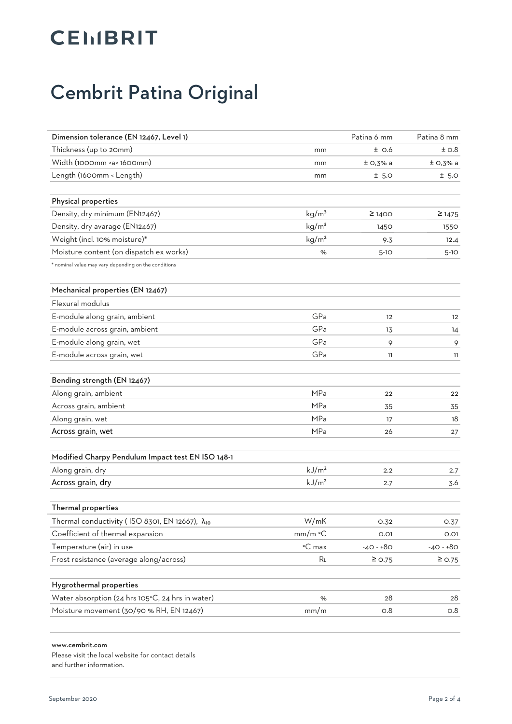## **CEIIBRIT**

### Cembrit Patina Original

| Dimension tolerance (EN 12467, Level 1)                                                                          |                   | Patina 6 mm       | Patina 8 mm |
|------------------------------------------------------------------------------------------------------------------|-------------------|-------------------|-------------|
| Thickness (up to 20mm)                                                                                           | mm                | $±$ 0.6           | ±0.8        |
| Width (1000mm <a< 1600mm)<="" td=""><td>mm</td><td><math>±</math> O,3% a</td><td><math>±</math> O,3% a</td></a<> | mm                | $±$ O,3% a        | $±$ O,3% a  |
| Length (1600mm < Length)                                                                                         | mm                | ± 5.0             | ± 5.0       |
|                                                                                                                  |                   |                   |             |
| Physical properties                                                                                              |                   |                   |             |
| Density, dry minimum (EN12467)                                                                                   | kg/m <sup>3</sup> | $\geq$ 1400       | $\geq$ 1475 |
| Density, dry avarage (EN12467)                                                                                   | kg/m <sup>3</sup> | 1450              | 1550        |
| Weight (incl. 10% moisture)*                                                                                     | kg/m <sup>2</sup> | 9.3               | 12.4        |
| Moisture content (on dispatch ex works)                                                                          | %                 | $5-10$            | $5-10$      |
| * nominal value may vary depending on the conditions                                                             |                   |                   |             |
| Mechanical properties (EN 12467)                                                                                 |                   |                   |             |
| <b>Elexural modulus</b>                                                                                          |                   |                   |             |
| E-module along grain, ambient                                                                                    | GPa               | $12 \overline{ }$ | 12          |
| E-module across grain, ambient                                                                                   | GPa               | 13                | 14          |
| E-module along grain, wet                                                                                        | GPa               | 9                 | 9           |
| E-module across grain, wet                                                                                       | GPa               | 11                | 11          |
| Bending strength (EN 12467)                                                                                      |                   |                   |             |
| Along grain, ambient                                                                                             | MPa               | 22                | 22          |
| Across grain, ambient                                                                                            | MPa               | 35                | 35          |
| Along grain, wet                                                                                                 | MPa               | 17                | 18          |
| Across grain, wet                                                                                                | <b>MPa</b>        | 26                | 27          |
| Modified Charpy Pendulum Impact test EN ISO 148-1                                                                |                   |                   |             |
| Along grain, dry                                                                                                 | kJ/m <sup>2</sup> | 2.2               | 2.7         |
| Across grain, dry                                                                                                | kJ/m <sup>2</sup> | 2.7               | 3.6         |
| Thermal properties                                                                                               |                   |                   |             |
| Thermal conductivity (ISO 8301, EN 12667), $\lambda_{10}$                                                        | W/mK              | 0.32              | 0.37        |
| Coefficient of thermal expansion                                                                                 | $mm/m$ °C         | 0.01              | O.O1        |
| Temperature (air) in use                                                                                         | °C max            | $-40 - +80$       | $-40 - 80$  |
| Frost resistance (average along/across)                                                                          | RL                | $\geq$ 0.75       | $\geq$ 0.75 |
|                                                                                                                  |                   |                   |             |
| Hygrothermal properties                                                                                          |                   |                   |             |
| Water absorption (24 hrs 105°C, 24 hrs in water)                                                                 | %                 | 28                | 28          |
| Moisture movement (30/90 % RH, EN 12467)                                                                         | mm/m              | O.8               | 0.8         |

#### www.cembrit.com

Please visit the local website for contact details and further information.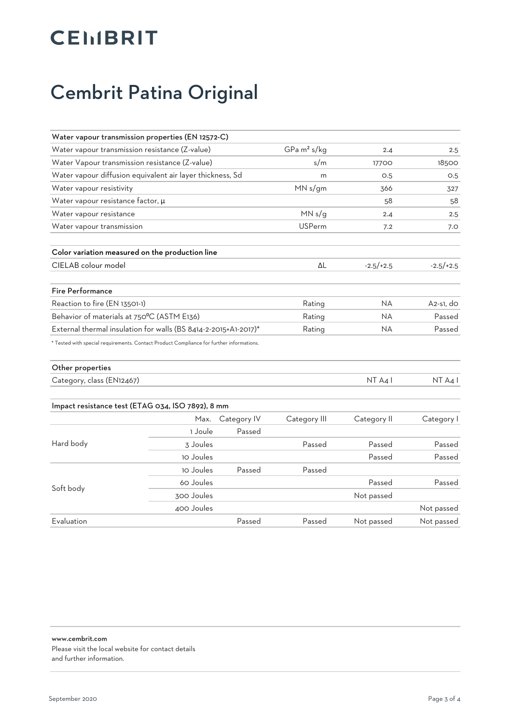## **CEIIBRIT**

### Cembrit Patina Original

| Water vapour transmission properties (EN 12572-C)                                        |            |                         |               |             |             |
|------------------------------------------------------------------------------------------|------------|-------------------------|---------------|-------------|-------------|
| Water vapour transmission resistance (Z-value)                                           |            | GPa m <sup>2</sup> s/kg | 2.4           | 2.5         |             |
| Water Vapour transmission resistance (Z-value)                                           |            | s/m                     | 17700         | 18500       |             |
| Water vapour diffusion equivalent air layer thickness, Sd                                |            |                         | m             | O.5         | O.5         |
| Water vapour resistivity                                                                 |            |                         | MN s/gm       | 366         | 327         |
| Water vapour resistance factor, $\mu$                                                    |            |                         |               | 58          | 58          |
| Water vapour resistance                                                                  |            |                         | MN s/g        | 2.4         | 2.5         |
| Water vapour transmission                                                                |            |                         | <b>USPerm</b> | 7.2         | 7.0         |
| Color variation measured on the production line                                          |            |                         |               |             |             |
| CIELAB colour model                                                                      |            |                         | ΔL            | $-2.5/+2.5$ | $-2.5/+2.5$ |
| <b>Fire Performance</b>                                                                  |            |                         |               |             |             |
| Reaction to fire (EN 13501-1)                                                            |            |                         | Rating        | <b>NA</b>   | $A2-S1,$ do |
| Behavior of materials at 750°C (ASTM E136)                                               |            |                         | Rating        | <b>NA</b>   | Passed      |
| External thermal insulation for walls (BS 8414-2-2015+A1-2017)*                          |            |                         | Rating        | <b>NA</b>   | Passed      |
| * Tested with special requirements. Contact Product Compliance for further informations. |            |                         |               |             |             |
| Other properties                                                                         |            |                         |               |             |             |
| Category, class (EN12467)                                                                |            |                         |               | NT A4 I     | NT A41      |
| Impact resistance test (ETAG 034, ISO 7892), 8 mm                                        |            |                         |               |             |             |
|                                                                                          | Max.       | Category IV             | Category III  | Category II | Category I  |
|                                                                                          | 1 Joule    | Passed                  |               |             |             |
| Hard body                                                                                | 3 Joules   |                         | Passed        | Passed      | Passed      |
|                                                                                          | 10 Joules  |                         |               | Passed      | Passed      |
|                                                                                          | 10 Joules  | Passed                  | Passed        |             |             |
| Soft body                                                                                | 60 Joules  |                         |               | Passed      | Passed      |
|                                                                                          | 300 Joules |                         |               | Not passed  |             |
|                                                                                          | 400 Joules |                         |               |             | Not passed  |
| Evaluation                                                                               |            | Passed                  | Passed        | Not passed  | Not passed  |

www.cembrit.com Please visit the local website for contact details and further information.